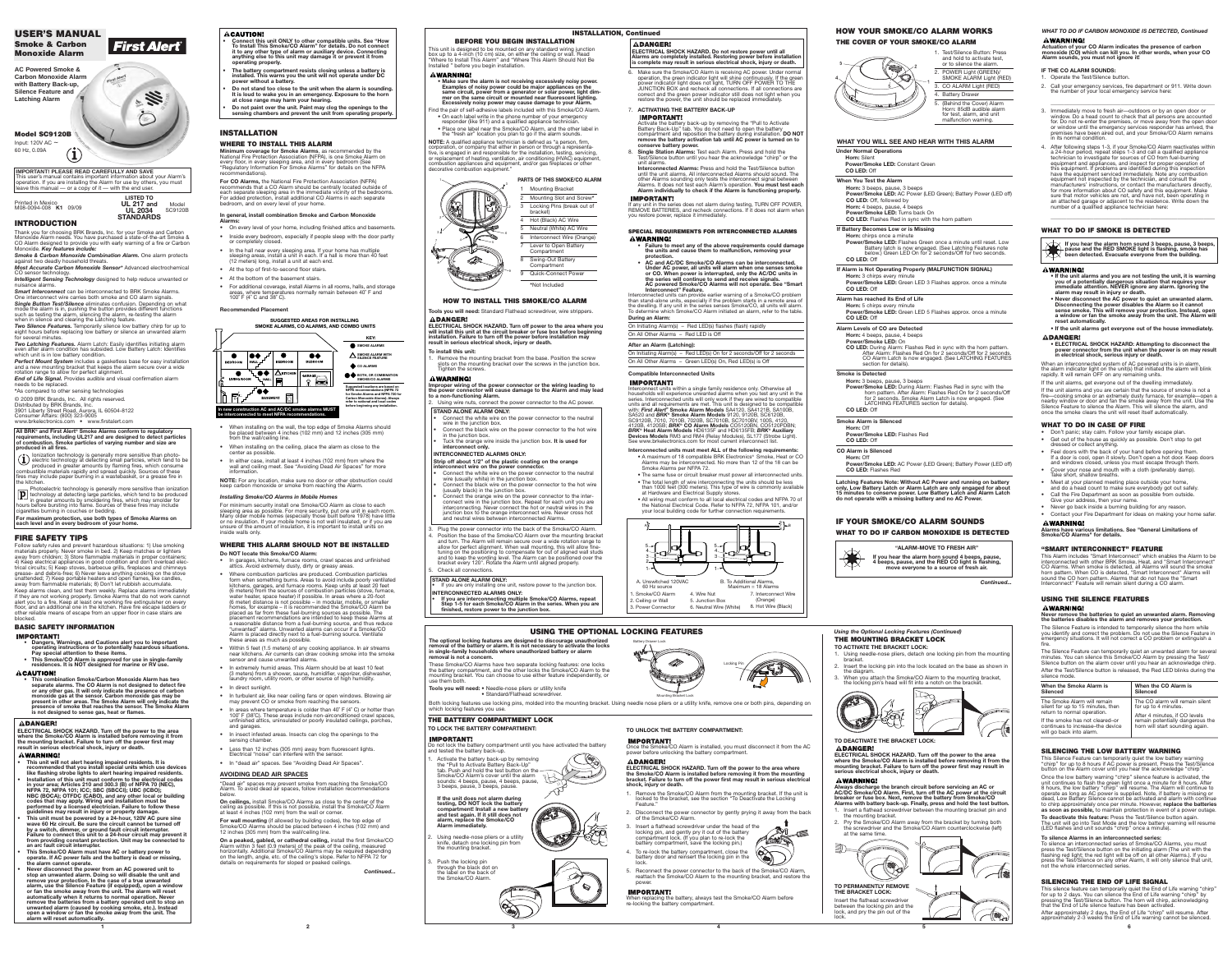**1 2 3**

## **INTRODUCTION**

Thank you for choosing BRK Brands, Inc. for your Smoke and Carbon<br>Monoxide Alarm needs. You have purchased a state-of-the-art Smoke &<br>CO Alarm designed to provide you with early warning of a fire or Carbon Monoxide. *Key features include:*

*Single Button Test/Silence* eliminates confusion. Depending on what mode the alarm is in, pushing the button provides different functions<br>such as testing the alarm, silencing the alarm, re-testing the alarm<br>when in silence and clearing the Latching feature.

*Two Silence Features.* Temporarily silence low battery chirp for up to<br>eight hours before replacing low battery or silence an unwanted alarm<br>for several minutes.

*Two Latching Features. Alarm Latch: Easily identifies initiating alarm* rm condition has subsided. Low Battery Latch: Identifies which unit is in low battery condition.

*Smoke & Carbon Monoxide Combination Alarm.* One alarm protects against two deadly household threats. *Most Accurate Carbon Monoxide Sensor\** Advanced electrochemical

CO sensor technology. *Intelligent Sensing Technology* designed to help reduce unwanted or

nuisance alarms. *Smart Interconnect* can be interconnected to BRK Smoke Alarms. One interconnect wire carries both smoke and CO alarm signals.

*End of Life Signal.* Provides audible and visual confirmation alarm eds to be replaced **\***As compared to other sensing technologies

*Perfect Mount System* includes a gasketless base for easy installation and a new mounting bracket that keeps the alarm secure over a wide rotation range to allow for perfect alignment.

Follow safety rules and prevent hazardous situations: 1) Use smoking<br>materials properly. Never smoke in bed. 2) Keep matches or lighters<br>away from children; 3) Store flammable materials in proper containers;<br>4) Keep electr trical circuits; 5) Keep stoves, barbecue grills, fireplaces and chimneys grease- and debris-free; 6) Never leave anything cooking on the stove unattended; 7) Keep portable heaters and open flames, like candles, away from flammable materials; 8) Don't let rubbish accumulate. Keep alarms clean, and test them weekly. Replace alarms immediately if they are not working properly. Smoke Alarms that do not work cannot<br>alert you to a fire. Keep at least one working fire extinguisher on every<br>floor, and an additional one in the kitchen. Have fire escape ladders or other reliable means of escape from an upper floor in case stairs are blocked.

**IMPORTANT! • Dangers, Warnings, and Cautions alert you to important** 

- **operating instructions or to potentially hazardous situations. Pay special attention to these items.**
- **• This Smoke/CO Alarm is approved for use in single-family residences. It is NOT designed for marine or RV use.**
- **ACAUTION!**

© 2009 BRK Brands, Inc. All rights reserved. Distributed by BRK Brands, Inc. 3901 Liberty Street Road, Aurora, IL 60504-8122

Consumer Affairs: (800) 323-9005

www.brkelectronics.com • www.firstalert.com

## **FIRE SAFETY TIPS**

## **BASIC SAFETY INFORMATION**

- **AWARNING!**
- **• This unit will not alert hearing impaired residents. It is recommended that you install special units which use devices like flashing strobe lights to alert hearing impaired residents. • Installation of this unit must conform to the electrical codes**
- **in your area; Articles 210 and 300.3 (B) of NFPA 70 (NEC), NFPA 72, NFPA 101; ICC; SBC (SBCCI); UBC (ICBO); NBC (BOCA); OTFDC (CABO), and any other local or building codes that may apply. Wiring and installation must be performed by a licensed electrician. Failure to follow these guidelines may result in injury or property damage.**
- **This unit must be powered by a 24-hour, 120V AC pure sine wave 60 Hz circuit. Be sure the circuit cannot be turned off by a switch, dimmer, or ground fault circuit interrupter. Failure to connect this unit to a 24-hour circuit may prevent it from providing constant protection. Unit may be connected to an arc fault circuit interrupter.**
- **• This Smoke/CO Alarm must have AC or battery power to operate. If AC power fails and the battery is dead or missing, the alarm cannot operate.**
- **Never disconnect the power from an AC powered unit to stop an unwanted alarm. Doing so will disable the unit and remove your protection. In the case of a true unwanted alarm, use the Silence Feature (if equipped), open a window or fan the smoke away from the unit. The alarm will reset automatically when it returns to normal operation. Never remove the batteries from a battery operated unit to stop an unwanted alarm (caused by cooking smoke, etc.). Instead open a window or fan the smoke away from the unit. The alarm will reset automatically.**

## **ACAUTION!**

**• This combination Smoke/Carbon Monoxide Alarm has two separate alarms. The CO Alarm is not designed to detect fire or any other gas. It will only indicate the presence of carbon monoxide gas at the sensor. Carbon monoxide gas may be present in other areas. The Smoke Alarm will only indicate the presence of smoke that reaches the sensor. The Smoke Alarm is not designed to sense gas, heat or flames.**

#### **ADANGER!**

- Inside every bedroom, especially if people sleep with the door partly or completely closed.
- In the hall near every sleeping area. If your home has multiple sleeping areas, install a unit in each. If a hall is more than 40 feet (12 meters) long, install a unit at each end.
- At the top of first-to-second floor stairs.
- At the bottom of the basement stairs.
- For additional coverage, install Alarms in all rooms, halls, and storage areas, where temperatures normally remain between 40° F and 100 $\degree$  F (4 $\degree$  C and 38 $\degree$  C).

#### **All BRK® and First Alert® Smoke Alarms conform to regulatory requirements, including UL217 and are designed to detect particles of combustion. Smoke particles of varying number and size are produced in all fires.**

(1) lonization technology is generally more sensitive than photo-<br>electric technology at detecting small particles, which tend to be<br>produced in greater amounts by flaming fires, which consume<br>combustible materials rapidly fires may include paper burning in a wastebasket, or a grease fire in the kitchen

> sleeping area as possible. For more security, put one unit in each room. Many older mobile homes (especially those built before 1978) have little or no insulation. If your mobile home is not well insulated, or if you are unsure of the amount of insulation, it is important to install units on nside walls onlv

Photoelectric technology is generally more sensitive than ionization technology at detecting large particles, which tend to be produced ' <sup>▲ →</sup> in greater amounts by smoldering fires, which may smolder for<br>hours before bursting into flame. Sources of these fires may include<br>cigarettes burning in couches or bedding. **For maximum protection, use both types of Smoke Alarms on**

**each level and in every bedroom of your home.**

**ELECTRICAL SHOCK HAZARD. Turn off the power to the area where the Smoke/CO Alarm is installed before removing it from the mounting bracket. Failure to turn off the power first may result in serious electrical shock, injury or death.**

> **On a peaked, gabled, or cathedral ceiling,** install the first Smoke/CO<br>Alarm within 3 feet (0.9 meters) of the peak of the ceiling, measured<br>horizontally. Additional Smoke/CO Alarms may be required depending<br>on the length details on requirements for sloped or peaked ceilings.

> > **4 5 6**

## **INSTALLATION**

## **WHERE TO INSTALL THIS ALARM**

**Minimum coverage for Smoke Alarms**, as recommended by the National Fire Protection Association (NFPA), is one Smoke Alarm on every floor, in every sleeping area, and in every bedroom (See Regulatory Information For Smoke Alarms" for details on the NFPA recommendations).

> 4 Hot (Black) AC Wire Neutral (White) AC Wire

- 6 Interconnect Wire (Orange)
- Lever to Open Battery

**For CO Alarms,** the National Fire Protection Association (NFPA) recommends that a CO Alarm should be centrally located outside of each separate sleeping area in the immediate vicinity of the bedrooms. For added protection, install additional CO Alarms in each separate bedroom, and on every level of your home.

## **In general, install combination Smoke and Carbon Monoxide**

**Alarms:** • On every level of your home, including finished attics and basements.

> Plug the power connector into the back of the Smoke/CO Alarm. 4. Position the base of the Smoke/CO Alarm over the mounting bracket and turn. The Alarm will remain secure over a wide rotation range to allow for perfect alignment. When wall mounting, this will allow finetuning on the positioning to compensate for out of aligned wall studs and to keep the wording level. The Alarm can be positioned over the bracket every 120°. Rotate the Alarm until aligned properly.

If you are only installing one unit, restore power to the junction box.

## **Recommended Placement**

- When installing on the wall, the top edge of Smoke Alarms should be placed between 4 inches (102 mm) and 12 inches (305 mm) from the wall/ceiling line.
- When installing on the ceiling, place the alarm as close to the center as possible.
- In either case, install at least 4 inches (102 mm) from where the wall and ceiling meet. See "Avoiding Dead Air Spaces" for more information.

**NOTE:** For any location, make sure no door or other obstruction could keep carbon monoxide or smoke from reaching the Alarm.

- Compartn 8 Swing-Out Battery
- **Compartment** 9 Quick-Connect Power
	- - **Interconnect" Feature.**

## *Installing Smoke/CO Alarms in Mobile Homes*

For minimum security install one Smoke/CO Alarm as close to each

## **WHERE THIS ALARM SHOULD NOT BE INSTALLED Do NOT locate this Smoke/CO Alarm:**

8. **Single Station Alarms:** Test each Alarm. Press and hold the t/Silence button until you hear the acknowledge "chirp" or the

- In garages, kitchens, furnace rooms, crawl spaces and unfinished attics. Avoid extremely dusty, dirty or greasy areas.
- Where combustion particles are produced. Combustion particles form when something burns. Areas to avoid include poorly ventilated<br>kitchens, garages, and furnace rooms. Keep units at least 20 feet<br>(6 meters) from the sources of combustion particles (stove, furnace, water heater, space heater) if possible. In areas where a 20-foot<br>(6 meter) distance is not possible – in modular, mobile, or smaller<br>homes, for example – it is recommended the Smoke/CO Alarm be placed as far from these fuel-burning sources as possible. The placement recommendations are intended to keep these Alarms at a reasonable distance from a fuel-burning source, and thus reduce "unwanted" alarms. Unwanted alarms can occur if a Smoke/CO Alarm is placed directly next to a fuel-burning source. Ventilate these areas as much as possible.
- Within 5 feet (1.5 meters) of any cooking appliance. In air streams near kitchens. Air currents can draw cooking smoke into the smoke sensor and cause unwanted alarms.
- In extremely humid areas. This Alarm should be at least 10 feet (3 meters) from a shower, sauna, humidifier, vaporizer, dishwasher, laundry room, utility room, or other source of high humidity.
- In direct sunlight.
- In turbulent air, like near ceiling fans or open windows. Blowing air
- may prevent CO or smoke from reaching the sensor • In areas where temperature is colder than  $40^{\circ}$  F ( $4^{\circ}$  C) or hotter than 100˚ F (38˚C). These areas include non-airconditioned crawl spaces, unfinished attics, uninsulated or poorly insulated ceilings, porches, and garages.
- In insect infested areas. Insects can clog the openings to the sensing chamber.
- Less than 12 inches (305 mm) away from fluorescent lights.
- Electrical "noise" can interfere with the sensor. • In "dead air" spaces. See "Avoiding Dead Air Spaces".

Smoke/CO Alarm 2. Ceiling or Wall 3. Power Connector

1. Test/Silence Button: Press and hold to activate test or to silence the alarm. 2. POWER Light (GREEN)/  $\bigcirc \hspace{-1.2ex}\circ$ 

SMOKE ALARM Light (RED) 3. CO ALARM Light (RED) 4. Battery Drawer . (Behind the Cover) Alarm

## **AVOIDING DEAD AIR SPACES**

"Dead air" spaces may prevent smoke from reaching the Smoke/CO Alarm. To avoid dead air spaces, follow installation recommendations below.

**On ceilings,** install Smoke/CO Alarms as close to the center of the ceiling as possible. If this is not possible, install the Smoke/CO Alarm at least 4 inches (102 mm) from the wall or corner.

**For wall mounting** (if allowed by building codes), the top edge of<br>Smoke/CO Alarms should be placed between 4 inches (102 mm) and<br>12 inches (305 mm) from the wall/ceiling line.

Activate the battery back-up by removing the "Pull to Activate Battery Back-Up" tab. Push and hold the test button on the Smoke/CO Alarm's cover until the alarm sounds: 4 beeps, pause, 4 beeps, pause, 3 beeps, pause, 3 beeps, pause. **If the unit does not alarm during testing, DO NOT lock the battery compartment! Install a new battery and test again. If it still does not alarm, replace the Smoke/CO**

- 1. Using needle-nose pliers, detach one locking pin from the mounting bracket.
- 2. Insert the locking pin into the lock located on the base as shown in the diagram.
- 3. When you attach the Smoke/CO Alarm to the mounting bracket, the locking pin's head will fit into a notch on the bracket



**TO DEACTIVATE THE BRACKET LOCK: ADANGER!** 

*Continued...*

## **SUGGESTED AREAS FOR INSTALLING**



**IMPORTANT!**<br>Once the Smoke/CO Alarm is installed, you must disconnect it from the AC power before unlocking the battery compartment.

This unit is designed to be mounted on any standard wiring junction box up to a 4-inch (10 cm) size, on either the ceiling or wall. Read "Where to Install This Alarm" and "Where This Alarm Should Not Be Installed " before you begin installation.

## **AWARNING!**

3. Insert a flathead screwdriver under the head of the locking pin, and gently pry it out of the battery compartment lock. (If you plan to re-lock the battery compartment, save the locking pin.) locking pin, and gently pry it out of the battery compartment lock. (If you plan to re-lock the battery compartment, save the locking pin.)

- **• Make sure the alarm is not receiving excessively noisy power. Examples of noisy power could be major appliances on the same circuit, power from a generator or solar power, light dim-mer on the same circuit or mounted near fluorescent lighting. Excessively noisy power may cause damage to your Alarm.**
- Find the pair of self-adhesive labels included with this Smoke/CO Alarm. • On each label write in the phone number of your emergency responder (like 911) and a qualified appliance technician. • Place one label near the Smoke/CO Alarm, and the other label in the "fresh air" location you plan to go if the alarm sounds.
- **NOTE:** A qualified appliance technician is defined as "a person, firm, corporation, or company that either in person or through a representative, is engaged in and responsible for the installation, testing, servicing, or replacement of heating, ventilation, air conditioning (HVAC) equipment, combustion appliances and equipment, and/or gas fireplaces or other decorative combustion equipment."

1

2

3

5

6

4

 $\iff$ 

2 3

9

7

8

**\***Not Included

#### **PARTS OF THIS SMOKE/CO ALARM**

**Mounting Bracket** 2 Mounting Slot and Screw**\*** 3 Locking Pins (break out of bracket<sup>y</sup>

**Tools you will need:** Standard Flathead screwdriver, wire strippers.

ELECTRICAL SHOCK HAZARD. Turn off power to the area where you<br>will install this unit at the circuit breaker or fuse box before beginning<br>installation. Failure to turn off the power before installation may

**result in serious electrical shock, injury or death.**

**To install this unit:**

**AWARNING!** 

**ADANGER!** 

1. Remove the mounting bracket from the base. Position the screw slots on the mounting bracket over the screws in the junction box.

Tighten the screws.

**Improper wiring of the power connector or the wiring leading to the power connector will cause damage to the Alarm and may lead**

Using wire nuts, connect the power connector to the AC power

Connect the white wire on the power connector to the neutral

Connect the black wire on the power connector to the hot wire

#### **AWARNING! Alarms have various limitations. See "General Limitations of Smoke/CO Alarms" for details.**

**to a non-functioning Alarm.**

#### *WHAT TO DO IF CARBON MONOXIDE IS DETECTED, Continued* **AWARNING!**

**STAND ALONE ALARM ONLY:**

wire in the junction box.

in the junction box.

• Tuck the orange wire inside the junction box. **It is used for** 

Connect the white wire on the power connector to the neutral

Connect the black wire on the power connector to the hot wire

**interconnect only. INTERCONNECTED ALARMS ONLY:**

Check all connections.

**Strip off about 1/2" of the plastic coating on the orange** 

**interconnect wire on the power connector.**

wire (usually white) in the junction box.

(usually black) in the junction box.

Mode SC9120B **LISTED TO UL 217 and UL 2034 STANDARDS**

> • Connect the orange wire on the power connector to the inter-connect wire in the junction box. Repeat for each unit you are interconnecting. Never connect the hot or neutral wires in the junction box to the orange interconnect wire. Never cross hot and neutral wires between interconnected Alarms.

## **SPECIAL REQUIREMENTS FOR INTERCONNECTED ALARMS**

**• Failure to meet any of the above requirements could damage the units and cause them to malfunction, removing your protection.**

**• AC and AC/DC Smoke/CO Alarms can be interconnected. Under AC power, all units will alarm when one senses smoke or CO. When power is interrupted, only the AC/DC units in the series will continue to send and receive signals. AC powered Smoke/CO Alarms will not operate. See "Smart**

Interconnected units can provide earlier warning of a Smoke/CO problem<br>than stand-alone units, especially if the problem starts in a remote area of<br>the dwelling. If any unit in the series senses Smoke/CO, all units will al

#### **BEFORE YOU BEGIN INSTALLATION INSTALLATION, Continued**

#### **USING THE SILENCE FEATURES AWARNING!**

# **During an Alarm:**

**IMPORTANT!** 

**AWARNING!** 

On Initiating Alarm(s) – Red LED(s) flashes (flash) rapidly

On All Other Alarms – Red LED is Off **After an Alarm (Latching):**

**IMPORTANT!** 

On Initiating Alarm(s) – Red LED(s) On for 2 seconds/Off for 2 seconds On All Other Alarms – Green LED(s) On, Red LED(s) is Off

**Compatible Interconnected Units**

Interconnect units within a single family residence only. Otherwise all households will experience unwanted alarms when you test any unit in the series. Interconnected units will only work if they are wired to compatible units and all requirements are met. This unit is designed to be compatible with: *First Alert®* **Smoke Alarm Models** SA4120, SA4121B, SA100B,<br>SA520 and *BRK® S***moke Alarm Models** 9120, 9120B, SC6120B,<br>SC9120B, 7010, 7010B, 7020B, SC7010B, SC7010BV, 100S, 4120, 4120B, 4120SB; *BRK®* **CO Alarm Models** CO5120BN, CO5120PDBN; *BRK®* **Heat Alarm Models** HD6135F and HD6135FB; *BRK®* **Auxiliary Devices Models** RM3 and RM4 (Relay Modules), SL177 (Strobe Light). See www.brkelectronics.com for most current interconnect list.

> The Smoke Alarm will rema silent for up to 15 minutes, then return to normal operation. If the smoke has not cleared–or continues to increase–the device will go back into alarm.

The CO alarm will rem for up to 4 minutes. After 4 minutes, if CO levels remain potentially dangerous the horn will start sounding again.

**Interconnected units must meet ALL of the following requirements:** • A maximum of 18 compatible BRK Electronics® Smoke, Heat or CO Alarms may be interconnected. No more than 12 of the 18 can be Smoke Alarms per NFPA 72.

• The same fuse or circuit breaker must power all interconnected units. • The total length of wire interconnecting the units should be less than 1000 feet (300 meters). This type of wire is commonly available at Hardware and Electrical Supply stores.

• All wiring must conform to all local electrical codes and NFPA 70 of the National Electrical Code. Refer to NFPA 72, NFPA 101, and/or your local building code for further connection requirements.

6. Make sure the Smoke/CO Alarm is receiving AC power. Under normal operation, the green indicator light will shine continuously. If the green power indicator light does not light, TURN OFF POWER TO THE JUNCTION BOX and recheck all connections. If all connections are correct and the green power indicator still does not light when you restore the power, the unit should be replaced immediately. 7. **ACTIVATING THE BATTERY BACK-UP**

Activate the battery back-up by removing the "Pull to Activate Battery Back-Up" tab. You do not need to open the battery compartment and reposition the battery during installation. **DO NOT remove the battery activation tab until AC power is turned on to**

**conserve battery power.**

**IMPORTANT!** 

**ADANGER!** 

unit alarms. **Interconnected Alarms:** Press and hold the Test/Silence button until the unit alarms. All interconnected Alarms should sound. The<br>other Alarms sounding only tests the interconnect signal between<br>Alarms. It does not test each Alarm's operation. **You must test each Alarm individually to check if the Alarm is functioning properly.**

If any unit in the series does not alarm during testing, TURN OFF POWER, REMOVE BATTERIES, and recheck connections. If it does not alarm when you restore power, replace it immediately.

> 4 3

> 2



**STAND ALONE ALARM ONLY:**

**INTERCONNECTED ALARMS ONLY:**

**• If you are interconnecting multiple Smoke/CO Alarms, repeat Step 1-5 for each Smoke/CO Alarm in the series. When you are**

**finished, restore power to the junction box.**

#### **ELECTRICAL SHOCK HAZARD. Do not restore power until all Alarms are completely installed. Restoring power before installation is complete may result in serious electrical shock, injury or death.**

**HOW TO INSTALL THIS SMOKE/CO ALARM**

Horn: 85dB audible alarm for test, alarm, and unit malfunction warning.

## **HOW YOUR SMOKE/CO ALARM WORKS THE COVER OF YOUR SMOKE/CO ALARM**

**The optional locking features are designed to discourage unauthorized removal of the battery or alarm. It is not necessary to activate the locks in single-family households where unauthorized battery or alarm**

**removal is not a concern.**

These Smoke/CO Alarms have two separate locking features: one locks the battery compartment, and the other locks the Smoke/CO Alarm to the mounting bracket. You can choose to use either feature independently, or

use them both.

**IMPORTANT!** 

**Tools you will need:** • Needle-nose pliers or utility knife

• Standard/Flathead screwdriver.

**THE BATTERY COMPARTMENT LOCK TO LOCK THE BATTERY COMPARTMENT:**

Do not lock the battery compartment until you have activated the battery

 $\prec$ 

**ASS** 

and tested the battery back-up.

**Alarm immediately.**

2. Using needle-nose pliers or a utility knife, detach one locking pin from

the mounting bracket. 3. Push the locking pin through the black dot on the label on the back of the Smoke/CO Alarm.

**ELECTRICAL SHOCK HAZARD. Turn off the power to the area where the Smoke/CO Alarm is installed before removing it from the mounting bracket. Failure to turn off the power first may result in serious electrical shock, injury or death.**

## **AWARNING!** Always discharge the branch circuit before servicing an AC or<br>AC/DC Smoke/CO Alarm. First, turn off the AC power at the circuit<br>breaker or fuse box. Next, remove the battery from Smoke/CO<br>Alarms with battery back-up. Final Insert a flathead screwdriver between the mounting bracket pin and

# **USING THE OPTIONAL LOCKING FEATURES** Locking Pin

the mounting bracket. 2. Pry the Smoke/CO Alarm away from the bracket by turning both the screwdriver and the Smoke/CO Alarm counterclockwise (left)



## **TO UNLOCK THE BATTERY COMPARTMENT:**

## **ELECTRICAL SHOCK HAZARD. Turn off the power to the area where the Smoke/CO Alarm is installed before removing it from the mounting bracket. Failure to turn off the power first may result in serious electrical**

**shock, injury or death.**

1. Remove the Smoke/CO Alarm from the mounting bracket. If the unit is locked to the bracket, see the section "To Deactivate the Locking

-03

Feature."

**ADANGER!** 

2. Disconnect the power connector by gently prying it away from the back

of the Smoke/CO Alarm.

4. To re-lock the battery compartment, close the battery door and reinsert the locking pin in the 5. Reconnect the power connector to the back of the Smoke/CO Alarm,

lock.

power

**IMPORTANT!** 

reattach the Smoke/CO Alarm to the mounting bracket, and restore the

When replacing the battery, always test the Smoke/CO Alarm before re-locking the battery compartment.

Mounting Bracket Lock

Battery Drawer Lock

## **IF YOUR SMOKE/CO ALARM SOUNDS WHAT TO DO IF CARBON MONOXIDE IS DETECTED**

*Continued...*

- **IF THE CO ALARM SOUNDS:**
- 1. Operate the Test/Silence button. 2. Call your emergency services, fire department or 911. Write down
- the number of your local emergency service here: \_\_\_\_\_\_\_\_\_\_\_\_\_\_\_\_\_\_\_\_\_\_\_\_\_\_\_\_\_\_\_\_\_\_\_\_\_\_\_\_\_\_\_\_\_\_\_\_\_\_\_\_\_\_\_\_\_\_\_\_\_
- 3. Immediately move to fresh air—outdoors or by an open door or window. Do a head count to check that all persons are accounted for. Do not re-enter the premises, or move away from the open door or window until the emergency services responder has arrived, the premises have been aired out, and your Smoke/CO Alarm remains in its normal condition.
- 4. After following steps 1-3, if your Smoke/CO Alarm reactivates within <sup>a</sup> 24-hour period, repeat steps 1-3 and call a qualified appliance technician to investigate for sources of CO from fuel-burning equipment and appliances, and inspect for proper operation of this equipment. If problems are identified during this inspection have the equipment serviced immediately. Note any combustion equipment not inspected by the technician, and consult the manufacturers' instructions, or contact the manufacturers directly, for more information about CO safety and this equipment. Make sure that motor vehicles are not, and have not, been operating in an attached garage or adjacent to the residence. Write down the number of a qualified appliance technician here:

#### **THE MOUNTING BRACKET LOCK TO ACTIVATE THE BRACKET LOCK:** *Using the Optional Locking Features (Continued)*

\_\_\_\_\_\_\_\_\_\_\_\_\_\_\_\_\_\_\_\_\_\_\_\_\_\_\_\_\_\_\_\_\_\_\_\_\_\_\_\_\_\_\_\_\_\_\_\_\_\_\_\_\_\_\_\_\_\_\_\_\_

## **AWARNING!**

## **WHAT TO DO IF SMOKE IS DETECTED**

**If you hear the alarm horn sound 3 beeps, pause, 3 beeps,** pause and the RED SMOKE light is flashing, smoke has **pause and the RED SMOKE light is flashing, smoke has been detected. Evacuate everyone from the building.** XX

- **• If the unit alarms and you are not testing the unit, it is warning you of a potentially dangerous situation that requires your immediate attention. NEVER ignore any alarm. Ignoring the alarm may result in injury or death.**
- **• Never disconnect the AC power to quiet an unwanted alarm. Disconnecting the power disables the Alarm so it cannot sense smoke. This will remove your protection. Instead, open a window or fan the smoke away from the unit. The Alarm will reset automatically.**
- **• If the unit alarms get everyone out of the house immediately. ADANGER!**
- **• ELECTRICAL SHOCK HAZARD: Attempting to disconnect the power connector from the unit when the power is on may result in electrical shock, serious injury or death.**

When an interconnected system of AC powered units is in alarm, the alarm indicator light on the unit(s) that initiated the alarm will blink rapidly. It will remain OFF on any remaining units.

If the unit alarms, get everyone out of the dwelling immediately If the unit alarms and you are certain that the source of smoke is not a fire—cooking smoke or an extremely dusty furnace, for example—open a<br>nearby window or door and fan the smoke away from the unit. Use the<br>Silence Feature to silence the Alarm. This will silence the alarm, and

once the smoke clears the unit will reset itself automatically.

## **WHAT TO DO IN CASE OF FIRE**

• Don't panic; stay calm. Follow your family escape plan. • Get out of the house as quickly as possible. Don't stop to get

- dressed or collect anything.
- Feel doors with the back of your hand before opening them. If a door is cool, open it slowly. Don't open a hot door. Keep doors and windows closed, unless you must escape through them. • Cover your nose and mouth with a cloth (preferably damp).
- Take short, shallow breaths.
- Meet at your planned meeting place outside your home, and do a head count to make sure everybody got out safely. • Call the Fire Department as soon as possible from outside.
- Give your address, then your name. • Never go back inside a burning building for any reason
- Contact your Fire Department for ideas on making your home safer.

## **"SMART INTERCONNECT" FEATURE**

This Alarm includes "Smart Interconnect" which enables the Alarm to be interconnected with other BRK Smoke, Heat, and "Smart Interconnect CO Alarms. When smoke is detected, all Alarms will sound the smoke horn pattern. When CO is detected, "Smart Interconnect" Alarms will sound the CO horn pattern. Alarms that do not have the "Smart Interconnect" Feature will remain silent during a CO alarm.

## **Actuation of your CO Alarm indicates the presence of carbon monoxide (CO) which can kill you. In other words, when your CO Alarm sounds, you must not ignore it!**

- **Connect this unit ONLY to other compatible units. See "How To Install This Smoke/CO Alarm" for details. Do not connect it to any other type of alarm or auxiliary device. Connecting anything else to this unit may damage it or prevent it from operating properly.**
- **• The battery compartment resists closing unless a battery is installed. This warns you the unit will not operate under DC power without a battery. • Do not stand too close to the unit when the alarm is sounding.**
- **It is loud to wake you in an emergency. Exposure to the horn at close range may harm your hearing.**
- **Do not paint over the unit. Paint may clog the openings to the sensing chambers and prevent the unit from operating properly.**

# **USER'S MANUAL**

**Smoke & Carbon Monoxide Alarm**





**IMPORTANT! PLEASE READ CAREFULLY AND SAVE** This user's manual contains important information about your Alarm's operation. If you are installing the Alarm for use by others, you must leave this manual — or a copy of it — with the end user.

Printed in Mexico M08-0094-008 **K1** 09/09

Both locking features use locking pins, molded into the mounting bracket. Using needle nose pliers or a utility knife, remove one or both pins, depending on

which locking features you use.



#### **WHAT YOU WILL SEE AND HEAR WITH THIS ALARM Under Normal Operations**

**Horn:** Silent **Power/Smoke LED:** Constant Green **CO LED:** Off

## **When You Test the Alarm**

**Horn:** 3 beeps, pause, 3 beeps **Power/Smoke LED:** AC Power (LED Green); Battery Power (LED off) **CO LED:** Off, followed by

- **Horn:** 4 beeps, pause, 4 beeps **Power/Smoke LED:** Turns back On
- **CO LED:** Flashes Red in sync with the horn pattern
- **If Battery Becomes Low or is Missing Horn:** chirps once a minute

**Power/Smoke LED:** Flashes Green once a minute until reset. Low Battery latch is now engaged. (See Latching Features note below.) Green LED On for 2 seconds/Off for two seconds. **CO LED:** Off

#### **If Alarm is Not Operating Properly (MALFUNCTION SIGNAL) Horn:** 3 chirps every minute

**Power/Smoke LED:** Green LED 3 Flashes approx. once a minute **CO LED:** Off

## **Alarm has reached its End of Life**

**Horn:** 5 chirps every minute **Power/Smoke LED:** Green LED 5 Flashes approx. once a minute **CO LED:** Off

- **Alarm Levels of CO are Detected Horn:** 4 beeps, pause, 4 beeps
- **Power/Smoke LED:** On
- **CO LED:** During Alarm: Flashes Red in sync with the horn pattern. After Alarm: Flashes Red On for 2 seconds/Off for 2 seconds. CO Alarm Latch is now engaged. (See LATCHING FEATURES section for details).
- **Smoke is Detected**
- **Horn:** 3 beeps, pause, 3 beeps **Power/Smoke LED:** During Alarm: Flashes Red in sync with the horn pattern. After Alarm: Flashes Red On for 2 seconds/Off for 2 seconds. Smoke Alarm Latch is now engaged. (See LATCHING FEATURES section for details).
- **CO LED:** Off
- **Smoke Alarm is Silenced**
- **Horn:** Off
- **Power/Smoke LED:** Flashes Red **CO LED:** Off
- **CO Alarm is Silenced Horn:** Off
- **Power/Smoke LED:** AC Power (LED Green); Battery Power (LED off) **CO LED:** Flashes Red

**Latching Features Note: Without AC Power and running on battery only, Low Battery Latch or Alarm Latch are only engaged for about 15 minutes to conserve power. Low Battery Latch and Alarm Latch do not operate with a missing battery and no AC Power.**

> **Never remove the batteries to quiet an unwanted alarm. Removing the batteries disables the alarm and removes your protection.** The Silence Feature is intended to temporarily silence the horn while you identify and correct the problem. Do not use the Silence Feature in ergency situations. It will not correct a CO problem or extinguish a fire.

> The Silence Feature can temporarily quiet an unwanted alarm for several minutes. You can silence this Smoke/CO Alarm by pressing the Test/ Silence button on the alarm cover until you hear an acknowledge chirp. After the Test/Silence button is released, the Red LED blinks during the silence mode.

> **SILENCING THE LOW BATTERY WARNING** This Silence Feature can temporarily quiet the low battery warning "chirp" for up to 8 hours if AC power is present. Press the Test/Silence button on the Alarm cover until you hear the acknowledge "chirp". Once the low battery warning "chirp" silence feature is activated, the unit continues to flash the green light once a minute for 8 hours. After<br>8 hours, the low battery "chirp" will resume. The Alarm will continue to<br>operate as long as AC power is supplied. Note, if battery is missing or dead, Low Battery Silence cannot be activated and alarm with continue to chirp approximately once per minute. However, **replace the batteries as soon as possible,** to maintain protection in event of a power outage. **To deactivate this feature:** Press the Test/Silence button again. The unit will go into Test Mode and the low battery warning will resume (LED flashes and unit sounds "chirp" once a minute).

**To silence Alarms in an interconnected series:**

To silence an interconnected series of Smoke/CO Alarms, you must press the Test/Silence button on the initiating alarm (The unit with the flashing red light; the red light will be off on all other Alarms.). If you press the Test/Silence on any other Alarm, it will only silence that unit, not the whole interconnected series.

**When the Smoke Alarm is**

**Silenced**

**When the CO Alarm is** 

**Silenced**

**SILENCING THE END OF LIFE SIGNAL**

This silence feature can temporarily quiet the End of Life warning "chirp" for up to 2 days. You can silence the End of Life warning "chirp" by<br>pressing the Test/Silence button. The horn will chirp, acknowledging<br>that the End of Life silence feature has been activated. After approximately 2 days, the End of Life "chirp" will resume. After approximately 2-3 weeks the End of Life warning cannot be silenced.